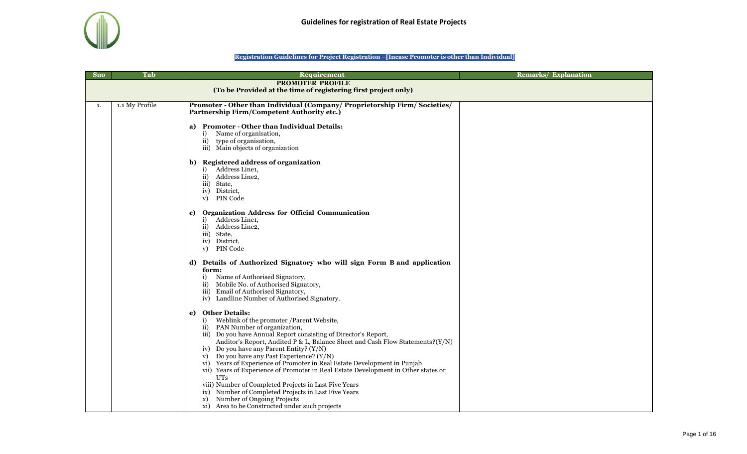

## **Registration Guidelines for Project Registration –[Incase Promoter is other than Individual]**

| <b>Sno</b> | Tab            | Requirement                                                                        | <b>Remarks/ Explanation</b> |
|------------|----------------|------------------------------------------------------------------------------------|-----------------------------|
|            |                | <b>PROMOTER PROFILE</b>                                                            |                             |
|            |                | (To be Provided at the time of registering first project only)                     |                             |
|            |                |                                                                                    |                             |
| 1.         | 1.1 My Profile | Promoter - Other than Individual (Company/ Proprietorship Firm/ Societies/         |                             |
|            |                | Partnership Firm/Competent Authority etc.)                                         |                             |
|            |                |                                                                                    |                             |
|            |                | a) Promoter - Other than Individual Details:                                       |                             |
|            |                | i) Name of organisation,                                                           |                             |
|            |                | ii) type of organisation,                                                          |                             |
|            |                | iii) Main objects of organization                                                  |                             |
|            |                |                                                                                    |                             |
|            |                | <b>Registered address of organization</b><br>b)                                    |                             |
|            |                | i) Address Line1,                                                                  |                             |
|            |                | ii) Address Line2,                                                                 |                             |
|            |                | iii) State,                                                                        |                             |
|            |                | iv) District,<br>PIN Code                                                          |                             |
|            |                | V)                                                                                 |                             |
|            |                | <b>Organization Address for Official Communication</b><br>c)                       |                             |
|            |                | i) Address Line1,                                                                  |                             |
|            |                | ii) Address Line2,                                                                 |                             |
|            |                | iii) State,                                                                        |                             |
|            |                | iv) District,                                                                      |                             |
|            |                | PIN Code<br>V)                                                                     |                             |
|            |                |                                                                                    |                             |
|            |                | d) Details of Authorized Signatory who will sign Form B and application            |                             |
|            |                | form:                                                                              |                             |
|            |                | i) Name of Authorised Signatory,                                                   |                             |
|            |                | ii) Mobile No. of Authorised Signatory,                                            |                             |
|            |                | iii) Email of Authorised Signatory,                                                |                             |
|            |                | iv) Landline Number of Authorised Signatory.                                       |                             |
|            |                | <b>Other Details:</b><br>e)                                                        |                             |
|            |                | i) Weblink of the promoter / Parent Website,                                       |                             |
|            |                | ii) PAN Number of organization,                                                    |                             |
|            |                | iii) Do you have Annual Report consisting of Director's Report,                    |                             |
|            |                | Auditor's Report, Audited P & L, Balance Sheet and Cash Flow Statements?(Y/N)      |                             |
|            |                | iv) Do you have any Parent Entity? (Y/N)                                           |                             |
|            |                | v) Do you have any Past Experience? (Y/N)                                          |                             |
|            |                | vi) Years of Experience of Promoter in Real Estate Development in Punjab           |                             |
|            |                | vii) Years of Experience of Promoter in Real Estate Development in Other states or |                             |
|            |                | UTs                                                                                |                             |
|            |                | viii) Number of Completed Projects in Last Five Years                              |                             |
|            |                | ix) Number of Completed Projects in Last Five Years                                |                             |
|            |                | Number of Ongoing Projects<br>X)                                                   |                             |
|            |                | xi) Area to be Constructed under such projects                                     |                             |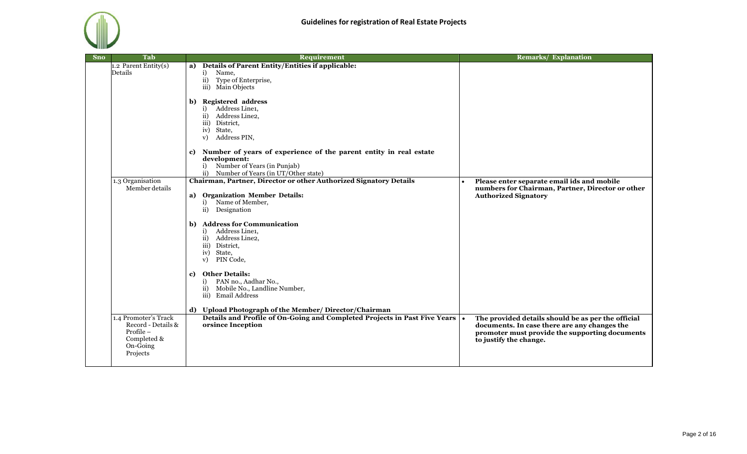

| <b>Sno</b> | <b>Tab</b>                                                                                       | Requirement                                                                                                                                                          | <b>Remarks/ Explanation</b>                                                                                                                                                    |
|------------|--------------------------------------------------------------------------------------------------|----------------------------------------------------------------------------------------------------------------------------------------------------------------------|--------------------------------------------------------------------------------------------------------------------------------------------------------------------------------|
|            | 1.2 Parent Entity(s)<br>Details                                                                  | a) Details of Parent Entity/Entities if applicable:<br>i)<br>Name,<br>ii)<br>Type of Enterprise,<br>iii) Main Objects                                                |                                                                                                                                                                                |
|            |                                                                                                  | b) Registered address<br>i) Address Line1,<br>Address Line2,<br>ii)<br>iii) District,<br>iv) State,<br>Address PIN,<br>$\mathbf{v})$                                 |                                                                                                                                                                                |
|            |                                                                                                  | c) Number of years of experience of the parent entity in real estate<br>development:<br>Number of Years (in Punjab)<br>i)<br>ii) Number of Years (in UT/Other state) |                                                                                                                                                                                |
|            | 1.3 Organisation<br>Member details                                                               | Chairman, Partner, Director or other Authorized Signatory Details<br>a) Organization Member Details:<br>Name of Member,<br>i)<br>ii) Designation                     | Please enter separate email ids and mobile<br>$\bullet$<br>numbers for Chairman, Partner, Director or other<br><b>Authorized Signatory</b>                                     |
|            |                                                                                                  | b) Address for Communication<br>i) Address Line1,<br>Address Line2,<br>$\mathbf{ii}$<br>iii) District,<br>iv) State,<br>PIN Code,<br>$\mathbf{v})$                   |                                                                                                                                                                                |
|            |                                                                                                  | <b>Other Details:</b><br>c)<br>PAN no., Aadhar No.,<br>i)<br>Mobile No., Landline Number,<br>$\mathbf{ii}$<br>iii) Email Address                                     |                                                                                                                                                                                |
|            | 1.4 Promoter's Track<br>Record - Details &<br>Profile $-$<br>Completed &<br>On-Going<br>Projects | d) Upload Photograph of the Member/ Director/Chairman<br>Details and Profile of On-Going and Completed Projects in Past Five Years .<br>orsince Inception            | The provided details should be as per the official<br>documents. In case there are any changes the<br>promoter must provide the supporting documents<br>to justify the change. |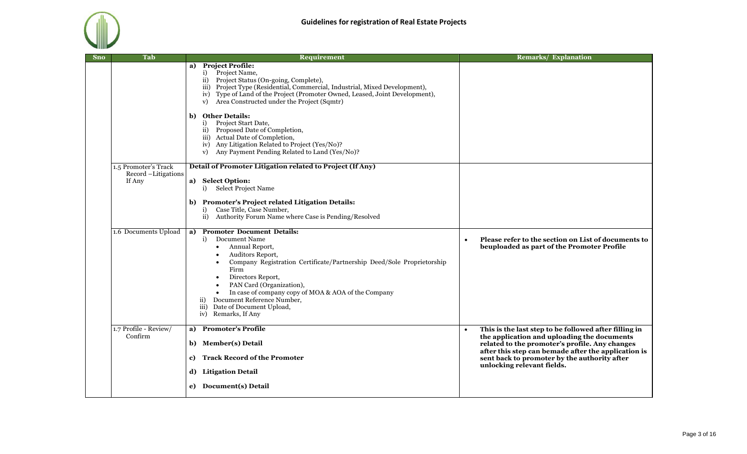

| <b>Sno</b> | Tab                              | <b>Requirement</b>                                                                                                                                                                                                                                                                                                                                                                                                                                                                                                                                     | <b>Remarks/ Explanation</b>                                                                                                                                                                                                                                                                              |
|------------|----------------------------------|--------------------------------------------------------------------------------------------------------------------------------------------------------------------------------------------------------------------------------------------------------------------------------------------------------------------------------------------------------------------------------------------------------------------------------------------------------------------------------------------------------------------------------------------------------|----------------------------------------------------------------------------------------------------------------------------------------------------------------------------------------------------------------------------------------------------------------------------------------------------------|
|            |                                  | a) Project Profile:<br>Project Name,<br>i)<br>ii) Project Status (On-going, Complete),<br>iii) Project Type (Residential, Commercial, Industrial, Mixed Development),<br>iv) Type of Land of the Project (Promoter Owned, Leased, Joint Development),<br>Area Constructed under the Project (Sqmtr)<br>V)<br><b>Other Details:</b><br>b)<br>Project Start Date,<br>i)<br>ii) Proposed Date of Completion,<br>iii) Actual Date of Completion,<br>iv) Any Litigation Related to Project (Yes/No)?<br>Any Payment Pending Related to Land (Yes/No)?<br>V) |                                                                                                                                                                                                                                                                                                          |
|            | 1.5 Promoter's Track             | Detail of Promoter Litigation related to Project (If Any)                                                                                                                                                                                                                                                                                                                                                                                                                                                                                              |                                                                                                                                                                                                                                                                                                          |
|            | Record -Litigations<br>If Any    | a) Select Option:<br>i) Select Project Name<br>b) Promoter's Project related Litigation Details:<br>Case Title, Case Number,<br>i)                                                                                                                                                                                                                                                                                                                                                                                                                     |                                                                                                                                                                                                                                                                                                          |
|            |                                  | $\mathbf{ii}$<br>Authority Forum Name where Case is Pending/Resolved                                                                                                                                                                                                                                                                                                                                                                                                                                                                                   |                                                                                                                                                                                                                                                                                                          |
|            | 1.6 Documents Upload             | <b>Promoter Document Details:</b><br>a)<br>i) Document Name<br>Annual Report,<br>$\bullet$<br>Auditors Report,<br>Company Registration Certificate/Partnership Deed/Sole Proprietorship<br>Firm<br>Directors Report,<br>PAN Card (Organization),<br>In case of company copy of MOA & AOA of the Company<br>Document Reference Number,<br>$\overline{11}$ )<br>Date of Document Upload,<br>$\overline{iii}$<br>iv) Remarks, If Any                                                                                                                      | Please refer to the section on List of documents to<br>$\bullet$<br>beuploaded as part of the Promoter Profile                                                                                                                                                                                           |
|            | 1.7 Profile - Review/<br>Confirm | <b>Promoter's Profile</b><br>a)<br>b) Member(s) Detail<br><b>Track Record of the Promoter</b><br>c)<br>d) Litigation Detail                                                                                                                                                                                                                                                                                                                                                                                                                            | This is the last step to be followed after filling in<br>$\bullet$<br>the application and uploading the documents<br>related to the promoter's profile. Any changes<br>after this step can bemade after the application is<br>sent back to promoter by the authority after<br>unlocking relevant fields. |
|            |                                  | e) Document(s) Detail                                                                                                                                                                                                                                                                                                                                                                                                                                                                                                                                  |                                                                                                                                                                                                                                                                                                          |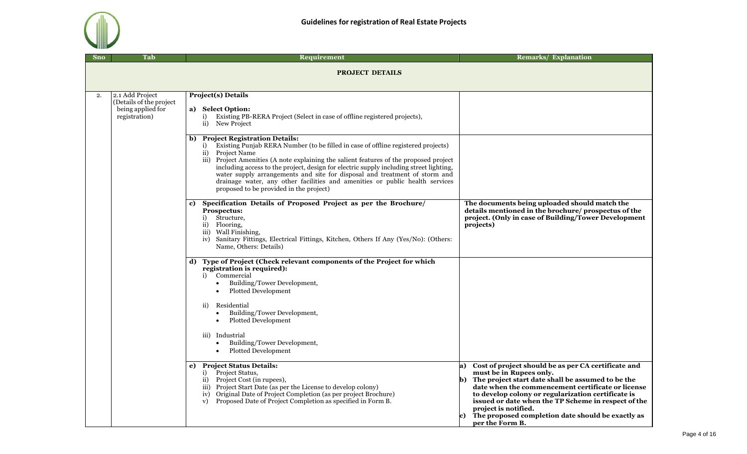

| <b>Sno</b> | Tab                                                                              | Requirement                                                                                                                                                                                                                                                                                                                                                                                                                                                                                                                                                      | <b>Remarks/ Explanation</b>                                                                                                                                                                                                                                                                                                                                                                                 |
|------------|----------------------------------------------------------------------------------|------------------------------------------------------------------------------------------------------------------------------------------------------------------------------------------------------------------------------------------------------------------------------------------------------------------------------------------------------------------------------------------------------------------------------------------------------------------------------------------------------------------------------------------------------------------|-------------------------------------------------------------------------------------------------------------------------------------------------------------------------------------------------------------------------------------------------------------------------------------------------------------------------------------------------------------------------------------------------------------|
|            |                                                                                  | <b>PROJECT DETAILS</b>                                                                                                                                                                                                                                                                                                                                                                                                                                                                                                                                           |                                                                                                                                                                                                                                                                                                                                                                                                             |
| 2.         | 2.1 Add Project<br>(Details of the project<br>being applied for<br>registration) | <b>Project(s) Details</b><br>a) Select Option:<br>Existing PB-RERA Project (Select in case of offline registered projects),<br>i)<br>$\mathbf{ii}$<br>New Project                                                                                                                                                                                                                                                                                                                                                                                                |                                                                                                                                                                                                                                                                                                                                                                                                             |
|            |                                                                                  | <b>Project Registration Details:</b><br>$\mathbf{b}$<br>Existing Punjab RERA Number (to be filled in case of offline registered projects)<br>i)<br>ii) Project Name<br>iii) Project Amenities (A note explaining the salient features of the proposed project<br>including access to the project, design for electric supply including street lighting,<br>water supply arrangements and site for disposal and treatment of storm and<br>drainage water, any other facilities and amenities or public health services<br>proposed to be provided in the project) |                                                                                                                                                                                                                                                                                                                                                                                                             |
|            |                                                                                  | Specification Details of Proposed Project as per the Brochure/<br>c)<br>Prospectus:<br>Structure,<br>i)<br>ii) Flooring,<br>iii) Wall Finishing,<br>iv) Sanitary Fittings, Electrical Fittings, Kitchen, Others If Any (Yes/No): (Others:<br>Name, Others: Details)                                                                                                                                                                                                                                                                                              | The documents being uploaded should match the<br>details mentioned in the brochure/ prospectus of the<br>project. (Only in case of Building/Tower Development<br>projects)                                                                                                                                                                                                                                  |
|            |                                                                                  | Type of Project (Check relevant components of the Project for which<br>d)<br>registration is required):<br>Commercial<br>i)<br>Building/Tower Development,<br>$\bullet$<br>Plotted Development<br>$\bullet$<br>Residential<br>ii)<br>Building/Tower Development,<br>$\bullet$<br>Plotted Development<br>$\bullet$<br>iii) Industrial<br>Building/Tower Development,<br>Plotted Development                                                                                                                                                                       |                                                                                                                                                                                                                                                                                                                                                                                                             |
|            |                                                                                  | <b>Project Status Details:</b><br>e)<br>i) Project Status,<br>ii) Project Cost (in rupees),<br>iii) Project Start Date (as per the License to develop colony)<br>iv) Original Date of Project Completion (as per project Brochure)<br>Proposed Date of Project Completion as specified in Form B.<br>V)                                                                                                                                                                                                                                                          | a) Cost of project should be as per CA certificate and<br>must be in Rupees only.<br>b) The project start date shall be assumed to be the<br>date when the commencement certificate or license<br>to develop colony or regularization certificate is<br>issued or date when the TP Scheme in respect of the<br>project is notified.<br>The proposed completion date should be exactly as<br>per the Form B. |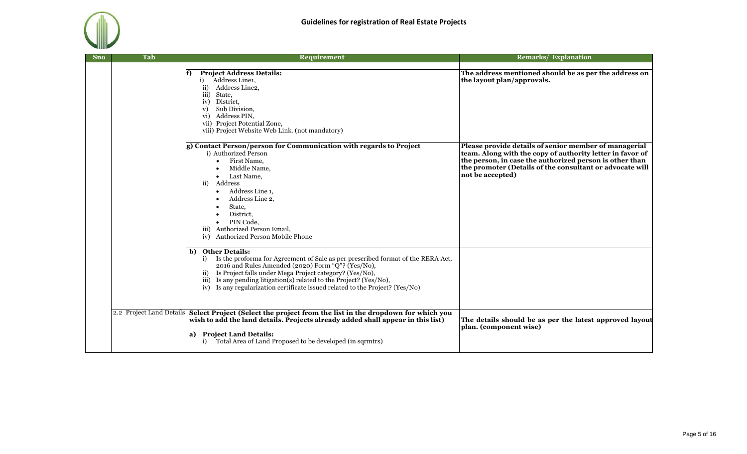

| <b>Sno</b> | <b>Tab</b>               | <b>Requirement</b>                                                                                                                                                                                                                                                                                                                                                                     | <b>Remarks/ Explanation</b>                                                                                                                                                                                                                                   |
|------------|--------------------------|----------------------------------------------------------------------------------------------------------------------------------------------------------------------------------------------------------------------------------------------------------------------------------------------------------------------------------------------------------------------------------------|---------------------------------------------------------------------------------------------------------------------------------------------------------------------------------------------------------------------------------------------------------------|
|            |                          | <b>Project Address Details:</b><br>Address Line1,<br>i)<br>Address Line2,<br>$\rm ii)$<br>State,<br>iii)<br>District,<br>iv)<br>Sub Division,<br>V)<br>Address PIN,<br>vi)<br>vii) Project Potential Zone,<br>viii) Project Website Web Link. (not mandatory)                                                                                                                          | The address mentioned should be as per the address on<br>the layout plan/approvals.                                                                                                                                                                           |
|            |                          | g) Contact Person/person for Communication with regards to Project<br>i) Authorized Person<br>First Name,<br>Middle Name,<br>Last Name,<br>ii) Address<br>Address Line 1,<br>Address Line 2,<br>State,<br>District.<br>PIN Code,<br>iii) Authorized Person Email,<br>Authorized Person Mobile Phone<br>iv)                                                                             | Please provide details of senior member of managerial<br>team. Along with the copy of authority letter in favor of<br>the person, in case the authorized person is other than<br>the promoter (Details of the consultant or advocate will<br>not be accepted) |
|            |                          | b) Other Details:<br>Is the proforma for Agreement of Sale as per prescribed format of the RERA Act,<br>i)<br>2016 and Rules Amended (2020) Form "Q"? (Yes/No),<br>ii) Is Project falls under Mega Project category? (Yes/No),<br>iii) Is any pending litigation(s) related to the Project? (Yes/No),<br>iv) Is any regularization certificate issued related to the Project? (Yes/No) |                                                                                                                                                                                                                                                               |
|            | 2.2 Project Land Details | Select Project (Select the project from the list in the dropdown for which you<br>wish to add the land details. Projects already added shall appear in this list)<br>a) Project Land Details:<br>Total Area of Land Proposed to be developed (in sqrmtrs)<br>i)                                                                                                                        | The details should be as per the latest approved layout<br>plan. (component wise)                                                                                                                                                                             |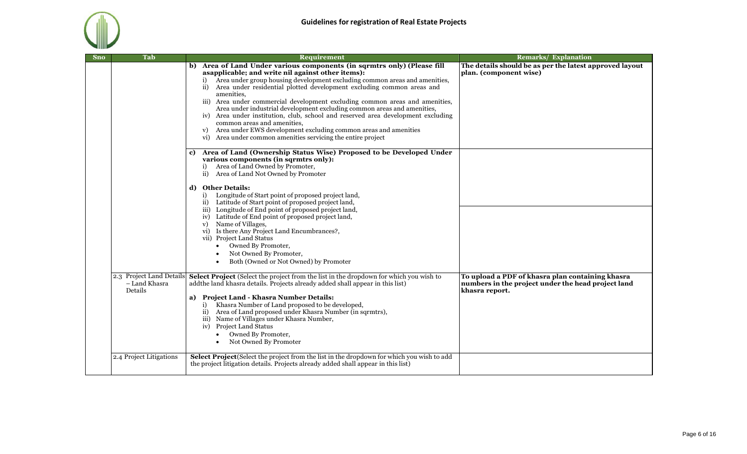

| <b>Sno</b> | Tab                      | Requirement                                                                                                                                                                                                                                                                                                                                                                                                                                                                                                                                                                                                                                                                                                            | <b>Remarks/ Explanation</b>                                                                                              |
|------------|--------------------------|------------------------------------------------------------------------------------------------------------------------------------------------------------------------------------------------------------------------------------------------------------------------------------------------------------------------------------------------------------------------------------------------------------------------------------------------------------------------------------------------------------------------------------------------------------------------------------------------------------------------------------------------------------------------------------------------------------------------|--------------------------------------------------------------------------------------------------------------------------|
|            |                          | b) Area of Land Under various components (in sqrmtrs only) (Please fill<br>asapplicable; and write nil against other items):<br>Area under group housing development excluding common areas and amenities,<br>ii) Area under residential plotted development excluding common areas and<br>amenities,<br>iii) Area under commercial development excluding common areas and amenities,<br>Area under industrial development excluding common areas and amenities,<br>iv) Area under institution, club, school and reserved area development excluding<br>common areas and amenities,<br>Area under EWS development excluding common areas and amenities<br>vi) Area under common amenities servicing the entire project | The details should be as per the latest approved layout<br>plan. (component wise)                                        |
|            |                          | Area of Land (Ownership Status Wise) Proposed to be Developed Under<br>c)<br>various components (in sqrmtrs only):<br>Area of Land Owned by Promoter,<br>i)<br>ii) Area of Land Not Owned by Promoter                                                                                                                                                                                                                                                                                                                                                                                                                                                                                                                  |                                                                                                                          |
|            |                          | d) Other Details:<br>Longitude of Start point of proposed project land,<br>i)<br>ii) Latitude of Start point of proposed project land,<br>iii) Longitude of End point of proposed project land,<br>iv) Latitude of End point of proposed project land,<br>v) Name of Villages,<br>vi) Is there Any Project Land Encumbrances?,<br>vii) Project Land Status<br>Owned By Promoter,<br>$\bullet$<br>Not Owned By Promoter,<br>Both (Owned or Not Owned) by Promoter                                                                                                                                                                                                                                                       |                                                                                                                          |
|            | - Land Khasra<br>Details | 2.3 Project Land Details Select Project (Select the project from the list in the dropdown for which you wish to<br>addthe land khasra details. Projects already added shall appear in this list)<br>a) Project Land - Khasra Number Details:<br>Khasra Number of Land proposed to be developed,<br>i)<br>Area of Land proposed under Khasra Number (in sqrmtrs),<br>$\overline{11}$ )<br>iii) Name of Villages under Khasra Number,<br>iv) Project Land Status<br>Owned By Promoter,<br>$\bullet$<br>Not Owned By Promoter                                                                                                                                                                                             | To upload a PDF of khasra plan containing khasra<br>numbers in the project under the head project land<br>khasra report. |
|            | 2.4 Project Litigations  | <b>Select Project</b> (Select the project from the list in the dropdown for which you wish to add<br>the project litigation details. Projects already added shall appear in this list)                                                                                                                                                                                                                                                                                                                                                                                                                                                                                                                                 |                                                                                                                          |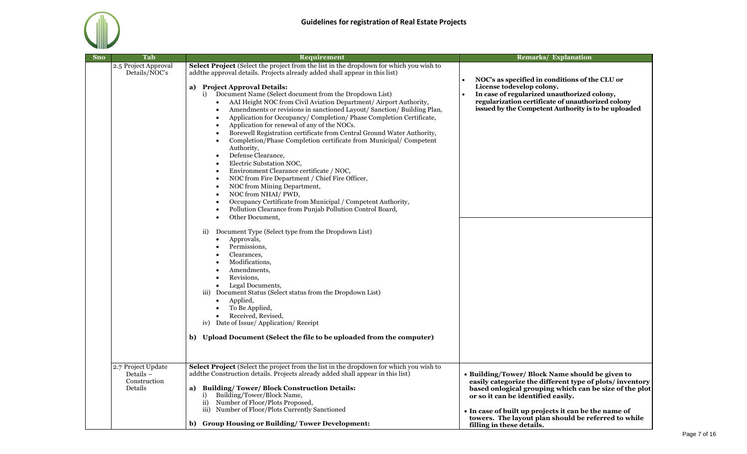

| <b>Sno</b> | Tab                                                        | <b>Requirement</b>                                                                                                                                                                                                                                                                                                                                                                                                                                                                                                                                                                                                                                                                                                                                                                                                                                                                                                                                                                                                                                                                                                                                                                                                                                                                                                                                                                                                                                                                                                                                                                                              | <b>Remarks/ Explanation</b>                                                                                                                                                                                                                                                                                                                            |
|------------|------------------------------------------------------------|-----------------------------------------------------------------------------------------------------------------------------------------------------------------------------------------------------------------------------------------------------------------------------------------------------------------------------------------------------------------------------------------------------------------------------------------------------------------------------------------------------------------------------------------------------------------------------------------------------------------------------------------------------------------------------------------------------------------------------------------------------------------------------------------------------------------------------------------------------------------------------------------------------------------------------------------------------------------------------------------------------------------------------------------------------------------------------------------------------------------------------------------------------------------------------------------------------------------------------------------------------------------------------------------------------------------------------------------------------------------------------------------------------------------------------------------------------------------------------------------------------------------------------------------------------------------------------------------------------------------|--------------------------------------------------------------------------------------------------------------------------------------------------------------------------------------------------------------------------------------------------------------------------------------------------------------------------------------------------------|
|            | 2.5 Project Approval<br>Details/NOC's                      | Select Project (Select the project from the list in the dropdown for which you wish to<br>addthe approval details. Projects already added shall appear in this list)<br>a) Project Approval Details:<br>Document Name (Select document from the Dropdown List)<br>i)<br>AAI Height NOC from Civil Aviation Department/ Airport Authority,<br>Amendments or revisions in sanctioned Layout/ Sanction/ Building Plan,<br>Application for Occupancy/Completion/Phase Completion Certificate,<br>Application for renewal of any of the NOCs.<br>$\bullet$<br>Borewell Registration certificate from Central Ground Water Authority,<br>Completion/Phase Completion certificate from Municipal/ Competent<br>$\bullet$<br>Authority,<br>Defense Clearance,<br>$\bullet$<br>Electric Substation NOC,<br>$\bullet$<br>Environment Clearance certificate / NOC,<br>$\bullet$<br>NOC from Fire Department / Chief Fire Officer,<br>NOC from Mining Department,<br>$\bullet$<br>NOC from NHAI/PWD,<br>Occupancy Certificate from Municipal / Competent Authority,<br>Pollution Clearance from Punjab Pollution Control Board,<br>Other Document,<br>Document Type (Select type from the Dropdown List)<br>$\overline{11}$ )<br>Approvals,<br>$\bullet$<br>Permissions,<br>$\bullet$<br>Clearances,<br>Modifications,<br>Amendments,<br>Revisions,<br>Legal Documents,<br>iii) Document Status (Select status from the Dropdown List)<br>Applied,<br>$\bullet$<br>To Be Applied,<br>Received, Revised,<br>iv) Date of Issue/ Application/ Receipt<br>b) Upload Document (Select the file to be uploaded from the computer) | NOC's as specified in conditions of the CLU or<br>License todevelop colony.<br>In case of regularized unauthorized colony,<br>regularization certificate of unauthorized colony<br>issued by the Competent Authority is to be uploaded                                                                                                                 |
|            | 2.7 Project Update<br>Details -<br>Construction<br>Details | Select Project (Select the project from the list in the dropdown for which you wish to<br>addthe Construction details. Projects already added shall appear in this list)<br><b>Building/Tower/Block Construction Details:</b><br>a)<br>Building/Tower/Block Name,<br>i)<br>ii) Number of Floor/Plots Proposed,<br>iii) Number of Floor/Plots Currently Sanctioned<br>b) Group Housing or Building/Tower Development:                                                                                                                                                                                                                                                                                                                                                                                                                                                                                                                                                                                                                                                                                                                                                                                                                                                                                                                                                                                                                                                                                                                                                                                            | · Building/Tower/ Block Name should be given to<br>easily categorize the different type of plots/inventory<br>based onlogical grouping which can be size of the plot<br>or so it can be identified easily.<br>• In case of built up projects it can be the name of<br>towers. The layout plan should be referred to while<br>filling in these details. |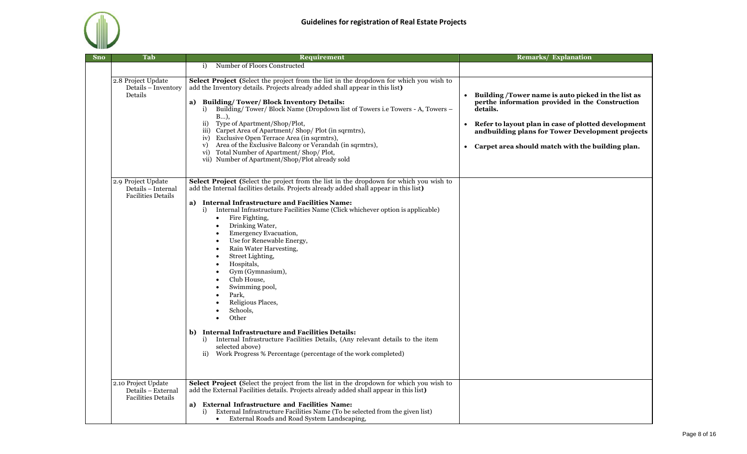

| <b>Sno</b> | Tab                                                                    | <b>Requirement</b>                                                                                                                                                                                                                                                                                                                                                                                                                                                                                                                                                                                                                                                                                                                                                                                                                                                            | <b>Remarks/ Explanation</b>                                                                                                                                                                                                                                                          |
|------------|------------------------------------------------------------------------|-------------------------------------------------------------------------------------------------------------------------------------------------------------------------------------------------------------------------------------------------------------------------------------------------------------------------------------------------------------------------------------------------------------------------------------------------------------------------------------------------------------------------------------------------------------------------------------------------------------------------------------------------------------------------------------------------------------------------------------------------------------------------------------------------------------------------------------------------------------------------------|--------------------------------------------------------------------------------------------------------------------------------------------------------------------------------------------------------------------------------------------------------------------------------------|
|            |                                                                        | Number of Floors Constructed<br>i)                                                                                                                                                                                                                                                                                                                                                                                                                                                                                                                                                                                                                                                                                                                                                                                                                                            |                                                                                                                                                                                                                                                                                      |
|            | 2.8 Project Update<br>Details - Inventory<br>Details                   | Select Project (Select the project from the list in the dropdown for which you wish to<br>add the Inventory details. Projects already added shall appear in this list)<br>a) Building/Tower/Block Inventory Details:<br>Building/Tower/Block Name (Dropdown list of Towers i.e Towers - A, Towers -<br>i)<br>$B$ ).<br>Type of Apartment/Shop/Plot,<br>$\mathbf{ii}$<br>iii) Carpet Area of Apartment/ Shop/ Plot (in sqrmtrs),<br>iv) Exclusive Open Terrace Area (in sqrmtrs),<br>Area of the Exclusive Balcony or Verandah (in sqrmtrs),<br>V)<br>vi) Total Number of Apartment/Shop/Plot,<br>vii) Number of Apartment/Shop/Plot already sold                                                                                                                                                                                                                              | • Building /Tower name is auto picked in the list as<br>perthe information provided in the Construction<br>details.<br>• Refer to layout plan in case of plotted development<br>andbuilding plans for Tower Development projects<br>Carpet area should match with the building plan. |
|            | 2.9 Project Update<br>Details - Internal<br><b>Facilities Details</b>  | Select Project (Select the project from the list in the dropdown for which you wish to<br>add the Internal facilities details. Projects already added shall appear in this list)<br>a) Internal Infrastructure and Facilities Name:<br>Internal Infrastructure Facilities Name (Click whichever option is applicable)<br>i)<br>Fire Fighting,<br>$\bullet$<br>Drinking Water,<br><b>Emergency Evacuation,</b><br>Use for Renewable Energy,<br>Rain Water Harvesting,<br>Street Lighting,<br>Hospitals,<br>Gym (Gymnasium),<br>Club House,<br>Swimming pool,<br>Park,<br>Religious Places,<br>Schools,<br>Other<br>$\bullet$<br>b) Internal Infrastructure and Facilities Details:<br>Internal Infrastructure Facilities Details, (Any relevant details to the item<br>i)<br>selected above)<br>Work Progress % Percentage (percentage of the work completed)<br>$\mathbf{ii}$ |                                                                                                                                                                                                                                                                                      |
|            | 2.10 Project Update<br>Details - External<br><b>Facilities Details</b> | Select Project (Select the project from the list in the dropdown for which you wish to<br>add the External Facilities details. Projects already added shall appear in this list)<br>a) External Infrastructure and Facilities Name:<br>External Infrastructure Facilities Name (To be selected from the given list)<br>i)<br>External Roads and Road System Landscaping,                                                                                                                                                                                                                                                                                                                                                                                                                                                                                                      |                                                                                                                                                                                                                                                                                      |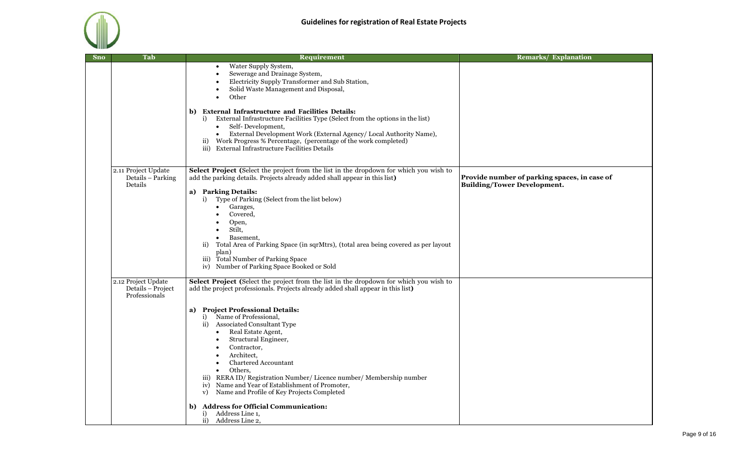

| <b>Sno</b> | Tab                                                       | Requirement                                                                                                                                                                                                                                                                                                                                                                                                                      | <b>Remarks/ Explanation</b>                                                        |
|------------|-----------------------------------------------------------|----------------------------------------------------------------------------------------------------------------------------------------------------------------------------------------------------------------------------------------------------------------------------------------------------------------------------------------------------------------------------------------------------------------------------------|------------------------------------------------------------------------------------|
|            |                                                           | Water Supply System,<br>$\bullet$<br>Sewerage and Drainage System,<br>Electricity Supply Transformer and Sub Station,<br>Solid Waste Management and Disposal,<br>Other                                                                                                                                                                                                                                                           |                                                                                    |
|            |                                                           | <b>External Infrastructure and Facilities Details:</b><br>b)<br>External Infrastructure Facilities Type (Select from the options in the list)<br>i)<br>Self-Development,<br>$\bullet$<br>External Development Work (External Agency/ Local Authority Name),<br>$\bullet$<br>Work Progress % Percentage, (percentage of the work completed)<br>$\overline{ii}$<br>iii) External Infrastructure Facilities Details                 |                                                                                    |
|            | 2.11 Project Update<br>Details – Parking<br>Details       | Select Project (Select the project from the list in the dropdown for which you wish to<br>add the parking details. Projects already added shall appear in this list)<br>a) Parking Details:                                                                                                                                                                                                                                      | Provide number of parking spaces, in case of<br><b>Building/Tower Development.</b> |
|            |                                                           | Type of Parking (Select from the list below)<br>i)<br>Garages,<br>$\bullet$<br>Covered,<br>Open,<br>Stilt,<br>$\bullet$<br>Basement,<br>Total Area of Parking Space (in sqrMtrs), (total area being covered as per layout<br>$\mathbf{ii}$<br>plan)<br>iii) Total Number of Parking Space<br>iv) Number of Parking Space Booked or Sold                                                                                          |                                                                                    |
|            | 2.12 Project Update<br>Details - Project<br>Professionals | Select Project (Select the project from the list in the dropdown for which you wish to<br>add the project professionals. Projects already added shall appear in this list)                                                                                                                                                                                                                                                       |                                                                                    |
|            |                                                           | a) Project Professional Details:<br>i) Name of Professional,<br>ii) Associated Consultant Type<br>Real Estate Agent,<br>$\bullet$<br>Structural Engineer,<br>Contractor,<br>Architect,<br>Chartered Accountant<br>Others.<br>$\bullet$<br>iii) RERA ID/ Registration Number/ Licence number/ Membership number<br>iv) Name and Year of Establishment of Promoter,<br>Name and Profile of Key Projects Completed<br>$\mathbf{v})$ |                                                                                    |
|            |                                                           | <b>Address for Official Communication:</b><br>b)<br>Address Line 1,<br>i)<br>$\mathbf{ii}$<br>Address Line 2,                                                                                                                                                                                                                                                                                                                    |                                                                                    |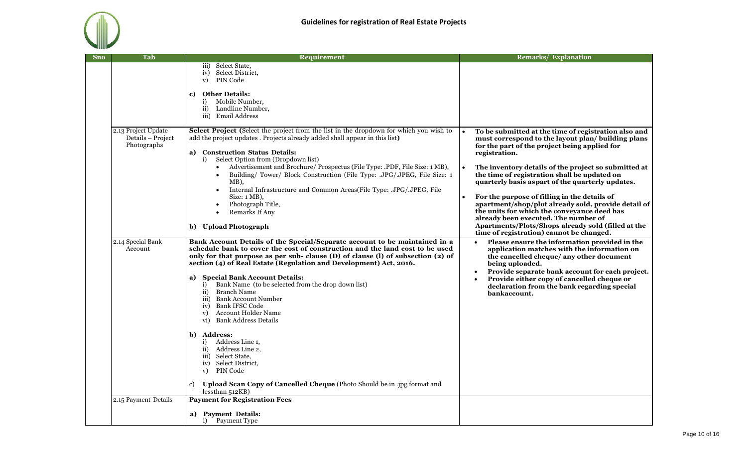| <b>Sno</b> | Tab                              | Requirement                                                                                                                                                                                                                                                                                                                                                                                                                                                                                                                                                                                                                                                                                                                                                                                                                        | <b>Remarks/ Explanation</b>                                                                                                                                                                                                                                                                                                                                                                                                                                                                                                                                                                                                              |
|------------|----------------------------------|------------------------------------------------------------------------------------------------------------------------------------------------------------------------------------------------------------------------------------------------------------------------------------------------------------------------------------------------------------------------------------------------------------------------------------------------------------------------------------------------------------------------------------------------------------------------------------------------------------------------------------------------------------------------------------------------------------------------------------------------------------------------------------------------------------------------------------|------------------------------------------------------------------------------------------------------------------------------------------------------------------------------------------------------------------------------------------------------------------------------------------------------------------------------------------------------------------------------------------------------------------------------------------------------------------------------------------------------------------------------------------------------------------------------------------------------------------------------------------|
|            | 2.13 Project Update              | iii) Select State,<br>Select District,<br>iv)<br>PIN Code<br>$\mathbf{v})$<br><b>Other Details:</b><br>c)<br>Mobile Number,<br>i)<br>Landline Number,<br>$\mathbf{ii}$<br>iii) Email Address<br>Select Project (Select the project from the list in the dropdown for which you wish to                                                                                                                                                                                                                                                                                                                                                                                                                                                                                                                                             |                                                                                                                                                                                                                                                                                                                                                                                                                                                                                                                                                                                                                                          |
|            | Details - Project<br>Photographs | add the project updates. Projects already added shall appear in this list)<br>a) Construction Status Details:<br>i) Select Option from (Dropdown list)<br>Advertisement and Brochure/ Prospectus (File Type: .PDF, File Size: 1 MB),<br>$\bullet$<br>Building/ Tower/ Block Construction (File Type: .JPG/.JPEG, File Size: 1<br>$MB$ ),<br>Internal Infrastructure and Common Areas(File Type: .JPG/.JPEG, File<br>Size: $1 \text{ MB}$ ),<br>Photograph Title,<br>$\bullet$<br>Remarks If Any<br>$\bullet$<br>b) Upload Photograph                                                                                                                                                                                                                                                                                               | To be submitted at the time of registration also and<br>must correspond to the layout plan/ building plans<br>for the part of the project being applied for<br>registration.<br>The inventory details of the project so submitted at<br>the time of registration shall be updated on<br>quarterly basis aspart of the quarterly updates.<br>For the purpose of filling in the details of<br>apartment/shop/plot already sold, provide detail of<br>the units for which the conveyance deed has<br>already been executed. The number of<br>Apartments/Plots/Shops already sold (filled at the<br>time of registration) cannot be changed. |
|            | 2.14 Special Bank<br>Account     | Bank Account Details of the Special/Separate account to be maintained in a<br>schedule bank to cover the cost of construction and the land cost to be used<br>only for that purpose as per sub- clause (D) of clause (l) of subsection (2) of<br>section (4) of Real Estate (Regulation and Development) Act, 2016.<br><b>Special Bank Account Details:</b><br>a)<br>i) Bank Name (to be selected from the drop down list)<br>Branch Name<br>$\overline{ii}$<br>iii) Bank Account Number<br>Bank IFSC Code<br>iv)<br>Account Holder Name<br>$\mathbf{v}$<br><b>Bank Address Details</b><br>vi)<br>b) Address:<br>i) Address Line 1,<br>ii) Address Line 2,<br>iii) Select State,<br>Select District.<br>iv)<br>PIN Code<br>V)<br>Upload Scan Copy of Cancelled Cheque (Photo Should be in .jpg format and<br>c)<br>lessthan 512KB) | Please ensure the information provided in the<br>$\bullet$<br>application matches with the information on<br>the cancelled cheque/ any other document<br>being uploaded.<br>Provide separate bank account for each project.<br>$\bullet$<br>Provide either copy of cancelled cheque or<br>declaration from the bank regarding special<br>bankaccount.                                                                                                                                                                                                                                                                                    |
|            | 2.15 Payment Details             | <b>Payment for Registration Fees</b><br><b>Payment Details:</b><br>a)<br>i)<br><b>Payment Type</b>                                                                                                                                                                                                                                                                                                                                                                                                                                                                                                                                                                                                                                                                                                                                 |                                                                                                                                                                                                                                                                                                                                                                                                                                                                                                                                                                                                                                          |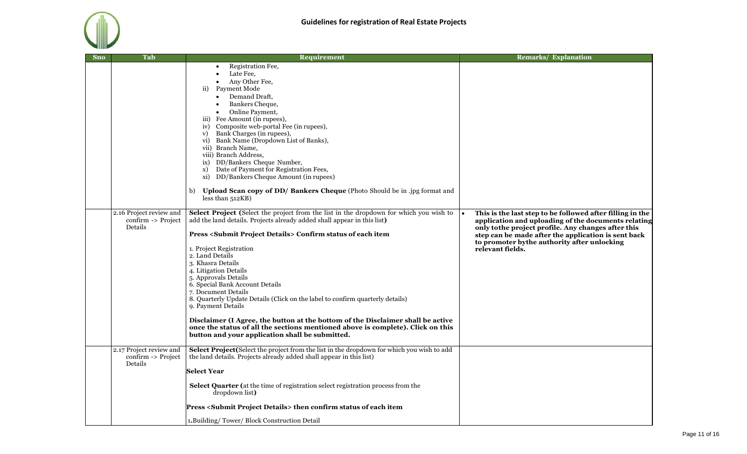

| <b>Sno</b> | Tab                                                      | Requirement                                                                                                                                                                                                                                                                                                                                                                                                                                                                                                                                                                                                                                                                                                                                                         | <b>Remarks/ Explanation</b>                                                                                                                                                                                                                                                                        |
|------------|----------------------------------------------------------|---------------------------------------------------------------------------------------------------------------------------------------------------------------------------------------------------------------------------------------------------------------------------------------------------------------------------------------------------------------------------------------------------------------------------------------------------------------------------------------------------------------------------------------------------------------------------------------------------------------------------------------------------------------------------------------------------------------------------------------------------------------------|----------------------------------------------------------------------------------------------------------------------------------------------------------------------------------------------------------------------------------------------------------------------------------------------------|
|            |                                                          | Registration Fee,<br>Late Fee,<br>Any Other Fee,<br>Payment Mode<br>$\ddot{\text{ii}}$<br>Demand Draft,<br>$\bullet$<br>Bankers Cheque,<br>Online Payment,<br>iii) Fee Amount (in rupees),<br>iv) Composite web-portal Fee (in rupees),<br>Bank Charges (in rupees),<br>$\mathbf{v})$<br>vi) Bank Name (Dropdown List of Banks),<br>vii) Branch Name,<br>viii) Branch Address,<br>ix) DD/Bankers Cheque Number,<br>Date of Payment for Registration Fees,<br>X)<br>xi) DD/Bankers Cheque Amount (in rupees)<br>b) Upload Scan copy of DD/ Bankers Cheque (Photo Should be in .jpg format and<br>less than 512KB)                                                                                                                                                    |                                                                                                                                                                                                                                                                                                    |
|            | 2.16 Project review and<br>confirm -> Project<br>Details | Select Project (Select the project from the list in the dropdown for which you wish to<br>add the land details. Projects already added shall appear in this list)<br><b>Press <submit details="" project=""> Confirm status of each item</submit></b><br>1. Project Registration<br>2. Land Details<br>3. Khasra Details<br>4. Litigation Details<br>5. Approvals Details<br>6. Special Bank Account Details<br>7. Document Details<br>8. Quarterly Update Details (Click on the label to confirm quarterly details)<br>9. Payment Details<br>Disclaimer (I Agree, the button at the bottom of the Disclaimer shall be active<br>once the status of all the sections mentioned above is complete). Click on this<br>button and your application shall be submitted. | This is the last step to be followed after filling in the<br>application and uploading of the documents relating<br>only to the project profile. Any changes after this<br>step can be made after the application is sent back<br>to promoter by the authority after unlocking<br>relevant fields. |
|            | 2.17 Project review and<br>confirm -> Project<br>Details | Select Project (Select the project from the list in the dropdown for which you wish to add<br>the land details. Projects already added shall appear in this list)<br><b>Select Year</b><br>Select Quarter (at the time of registration select registration process from the<br>dropdown list)<br>Press <submit details="" project=""> then confirm status of each item</submit>                                                                                                                                                                                                                                                                                                                                                                                     |                                                                                                                                                                                                                                                                                                    |
|            |                                                          | 1. Building/Tower/Block Construction Detail                                                                                                                                                                                                                                                                                                                                                                                                                                                                                                                                                                                                                                                                                                                         |                                                                                                                                                                                                                                                                                                    |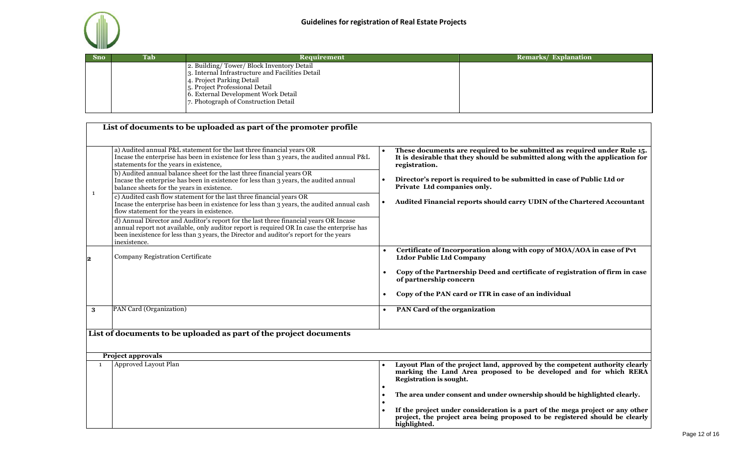

|                                                                                                                                                                                                                                            | <b>Remarks/ Explanation</b> |
|--------------------------------------------------------------------------------------------------------------------------------------------------------------------------------------------------------------------------------------------|-----------------------------|
| 2. Building/Tower/Block Inventory Detail<br>3. Internal Infrastructure and Facilities Detail<br>4. Project Parking Detail<br>5. Project Professional Detail<br>6. External Development Work Detail<br>7. Photograph of Construction Detail |                             |

|              | List of documents to be uploaded as part of the promoter profile                                                                                                                                                                                                                                                                                                                                                                                                                                                                                                                                                                                                                                                                                                                                                                                                                                                                                  |                                                                                                                                                                                                                                                                                                                                                                                                                                                               |
|--------------|---------------------------------------------------------------------------------------------------------------------------------------------------------------------------------------------------------------------------------------------------------------------------------------------------------------------------------------------------------------------------------------------------------------------------------------------------------------------------------------------------------------------------------------------------------------------------------------------------------------------------------------------------------------------------------------------------------------------------------------------------------------------------------------------------------------------------------------------------------------------------------------------------------------------------------------------------|---------------------------------------------------------------------------------------------------------------------------------------------------------------------------------------------------------------------------------------------------------------------------------------------------------------------------------------------------------------------------------------------------------------------------------------------------------------|
| $\mathbf{1}$ | a) Audited annual P&L statement for the last three financial years OR<br>Incase the enterprise has been in existence for less than 3 years, the audited annual P&L<br>statements for the years in existence,<br>b) Audited annual balance sheet for the last three financial years OR<br>Incase the enterprise has been in existence for less than 3 years, the audited annual<br>balance sheets for the years in existence.<br>c) Audited cash flow statement for the last three financial years OR<br>Incase the enterprise has been in existence for less than 3 years, the audited annual cash<br>flow statement for the years in existence.<br>d) Annual Director and Auditor's report for the last three financial years OR Incase<br>annual report not available, only auditor report is required OR In case the enterprise has<br>been inexistence for less than 3 years, the Director and auditor's report for the years<br>inexistence. | These documents are required to be submitted as required under Rule 15.<br>It is desirable that they should be submitted along with the application for<br>registration.<br>Director's report is required to be submitted in case of Public Ltd or<br>Private Ltd companies only.<br>Audited Financial reports should carry UDIN of the Chartered Accountant                                                                                                  |
| 2            | Company Registration Certificate                                                                                                                                                                                                                                                                                                                                                                                                                                                                                                                                                                                                                                                                                                                                                                                                                                                                                                                  | Certificate of Incorporation along with copy of MOA/AOA in case of Pvt<br><b>Ltdor Public Ltd Company</b><br>Copy of the Partnership Deed and certificate of registration of firm in case<br>$\bullet$<br>of partnership concern<br>Copy of the PAN card or ITR in case of an individual                                                                                                                                                                      |
| 3            | PAN Card (Organization)                                                                                                                                                                                                                                                                                                                                                                                                                                                                                                                                                                                                                                                                                                                                                                                                                                                                                                                           | PAN Card of the organization                                                                                                                                                                                                                                                                                                                                                                                                                                  |
|              | List of documents to be uploaded as part of the project documents                                                                                                                                                                                                                                                                                                                                                                                                                                                                                                                                                                                                                                                                                                                                                                                                                                                                                 |                                                                                                                                                                                                                                                                                                                                                                                                                                                               |
| $\mathbf{1}$ | <b>Project approvals</b><br>Approved Layout Plan                                                                                                                                                                                                                                                                                                                                                                                                                                                                                                                                                                                                                                                                                                                                                                                                                                                                                                  | Layout Plan of the project land, approved by the competent authority clearly<br>marking the Land Area proposed to be developed and for which RERA<br><b>Registration is sought.</b><br>The area under consent and under ownership should be highlighted clearly.<br>$\bullet$<br>If the project under consideration is a part of the mega project or any other<br>project, the project area being proposed to be registered should be clearly<br>highlighted. |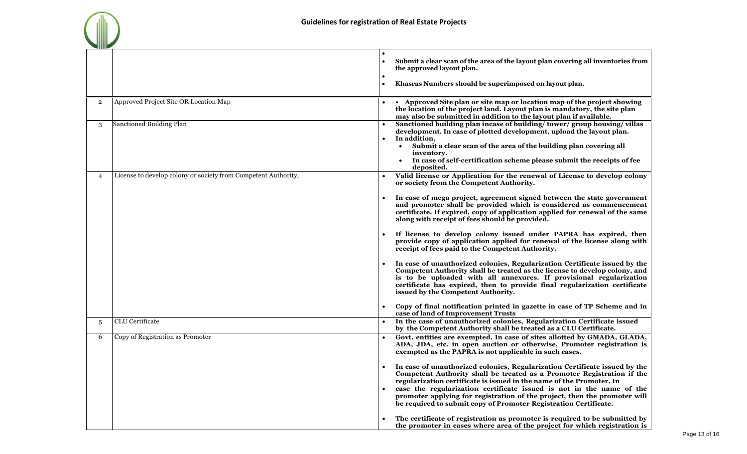|                |                                                                | Submit a clear scan of the area of the layout plan covering all inventories from<br>the approved layout plan.<br>Khasras Numbers should be superimposed on layout plan.                                                                                                                                                                                                                                                                                                                                                             |
|----------------|----------------------------------------------------------------|-------------------------------------------------------------------------------------------------------------------------------------------------------------------------------------------------------------------------------------------------------------------------------------------------------------------------------------------------------------------------------------------------------------------------------------------------------------------------------------------------------------------------------------|
| $\overline{2}$ | Approved Project Site OR Location Map                          | • Approved Site plan or site map or location map of the project showing<br>the location of the project land. Layout plan is mandatory, the site plan<br>may also be submitted in addition to the layout plan if available.                                                                                                                                                                                                                                                                                                          |
| 3              | Sanctioned Building Plan                                       | Sanctioned building plan incase of building/tower/group housing/villas<br>development. In case of plotted development, upload the layout plan.<br>In addition,<br>Submit a clear scan of the area of the building plan covering all<br>$\bullet$<br>inventory.<br>In case of self-certification scheme please submit the receipts of fee<br>deposited.                                                                                                                                                                              |
| 4              | License to develop colony or society from Competent Authority, | Valid license or Application for the renewal of License to develop colony<br>$\bullet$<br>or society from the Competent Authority.                                                                                                                                                                                                                                                                                                                                                                                                  |
|                |                                                                | In case of mega project, agreement signed between the state government<br>and promoter shall be provided which is considered as commencement<br>certificate. If expired, copy of application applied for renewal of the same<br>along with receipt of fees should be provided.                                                                                                                                                                                                                                                      |
|                |                                                                | If license to develop colony issued under PAPRA has expired, then<br>provide copy of application applied for renewal of the license along with<br>receipt of fees paid to the Competent Authority.                                                                                                                                                                                                                                                                                                                                  |
|                |                                                                | In case of unauthorized colonies, Regularization Certificate issued by the<br>Competent Authority shall be treated as the license to develop colony, and<br>is to be uploaded with all annexures. If provisional regularization<br>certificate has expired, then to provide final regularization certificate<br>issued by the Competent Authority.                                                                                                                                                                                  |
|                |                                                                | Copy of final notification printed in gazette in case of TP Scheme and in<br>case of land of Improvement Trusts                                                                                                                                                                                                                                                                                                                                                                                                                     |
| 5              | <b>CLU</b> Certificate                                         | In the case of unauthorized colonies, Regularization Certificate issued<br>by the Competent Authority shall be treated as a CLU Certificate.                                                                                                                                                                                                                                                                                                                                                                                        |
| 6              | Copy of Registration as Promoter                               | Govt. entities are exempted. In case of sites allotted by GMADA, GLADA,<br>ADA, JDA, etc. in open auction or otherwise, Promoter registration is<br>exempted as the PAPRA is not applicable in such cases.                                                                                                                                                                                                                                                                                                                          |
|                |                                                                | In case of unauthorized colonies, Regularization Certificate issued by the<br>Competent Authority shall be treated as a Promoter Registration if the<br>regularization certificate is issued in the name of the Promoter. In<br>case the regularization certificate issued is not in the name of the<br>promoter applying for registration of the project, then the promoter will<br>be required to submit copy of Promoter Registration Certificate.<br>The certificate of registration as promoter is required to be submitted by |
|                |                                                                | the promoter in cases where area of the project for which registration is                                                                                                                                                                                                                                                                                                                                                                                                                                                           |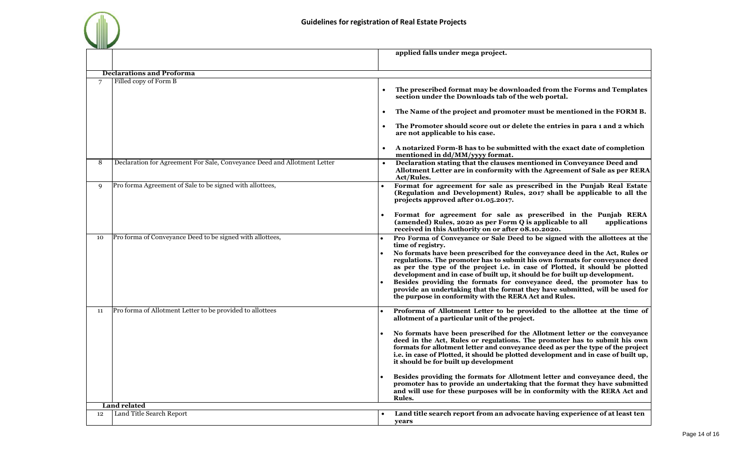|                |                                                                          | applied falls under mega project.                                                                                                                                                                                                                                                                                                                                                                                                                                                                                                                                                                                                                                      |
|----------------|--------------------------------------------------------------------------|------------------------------------------------------------------------------------------------------------------------------------------------------------------------------------------------------------------------------------------------------------------------------------------------------------------------------------------------------------------------------------------------------------------------------------------------------------------------------------------------------------------------------------------------------------------------------------------------------------------------------------------------------------------------|
|                |                                                                          |                                                                                                                                                                                                                                                                                                                                                                                                                                                                                                                                                                                                                                                                        |
|                | <b>Declarations and Proforma</b>                                         |                                                                                                                                                                                                                                                                                                                                                                                                                                                                                                                                                                                                                                                                        |
| $\overline{7}$ | Filled copy of Form B                                                    | The prescribed format may be downloaded from the Forms and Templates<br>section under the Downloads tab of the web portal.<br>The Name of the project and promoter must be mentioned in the FORM B.                                                                                                                                                                                                                                                                                                                                                                                                                                                                    |
|                |                                                                          | The Promoter should score out or delete the entries in para 1 and 2 which<br>are not applicable to his case.<br>A notarized Form-B has to be submitted with the exact date of completion                                                                                                                                                                                                                                                                                                                                                                                                                                                                               |
| 8              | Declaration for Agreement For Sale, Conveyance Deed and Allotment Letter | mentioned in dd/MM/yyyy format.<br>Declaration stating that the clauses mentioned in Conveyance Deed and<br>Allotment Letter are in conformity with the Agreement of Sale as per RERA<br>Act/Rules.                                                                                                                                                                                                                                                                                                                                                                                                                                                                    |
| 9              | Pro forma Agreement of Sale to be signed with allottees,                 | Format for agreement for sale as prescribed in the Punjab Real Estate<br>(Regulation and Development) Rules, 2017 shall be applicable to all the<br>projects approved after 01.05.2017.                                                                                                                                                                                                                                                                                                                                                                                                                                                                                |
|                |                                                                          | Format for agreement for sale as prescribed in the Punjab RERA<br>(amended) Rules, 2020 as per Form Q is applicable to all<br>applications<br>received in this Authority on or after 08.10.2020.                                                                                                                                                                                                                                                                                                                                                                                                                                                                       |
| 10             | Pro forma of Conveyance Deed to be signed with allottees,                | Pro Forma of Conveyance or Sale Deed to be signed with the allottees at the<br>time of registry.<br>No formats have been prescribed for the conveyance deed in the Act, Rules or<br>regulations. The promoter has to submit his own formats for conveyance deed<br>as per the type of the project i.e. in case of Plotted, it should be plotted<br>development and in case of built up, it should be for built up development.<br>Besides providing the formats for conveyance deed, the promoter has to<br>provide an undertaking that the format they have submitted, will be used for<br>the purpose in conformity with the RERA Act and Rules.                     |
| 11             | Pro forma of Allotment Letter to be provided to allottees                | Proforma of Allotment Letter to be provided to the allottee at the time of<br>allotment of a particular unit of the project.<br>No formats have been prescribed for the Allotment letter or the conveyance<br>deed in the Act, Rules or regulations. The promoter has to submit his own<br>formats for allotment letter and conveyance deed as per the type of the project<br>i.e. in case of Plotted, it should be plotted development and in case of built up,<br>it should be for built up development<br>Besides providing the formats for Allotment letter and conveyance deed, the<br>promoter has to provide an undertaking that the format they have submitted |
|                |                                                                          | and will use for these purposes will be in conformity with the RERA Act and<br>Rules.                                                                                                                                                                                                                                                                                                                                                                                                                                                                                                                                                                                  |
|                | <b>Land related</b>                                                      |                                                                                                                                                                                                                                                                                                                                                                                                                                                                                                                                                                                                                                                                        |
| 12             | Land Title Search Report                                                 | Land title search report from an advocate having experience of at least ten<br>years                                                                                                                                                                                                                                                                                                                                                                                                                                                                                                                                                                                   |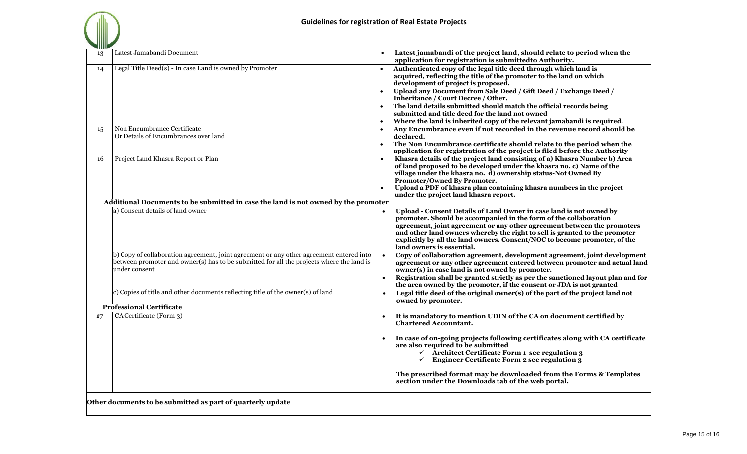| - 1111111111 |                                                                                                                                                                                                      |  |                                                                                                                                                                                                                                                                                                                                                                                                            |  |  |
|--------------|------------------------------------------------------------------------------------------------------------------------------------------------------------------------------------------------------|--|------------------------------------------------------------------------------------------------------------------------------------------------------------------------------------------------------------------------------------------------------------------------------------------------------------------------------------------------------------------------------------------------------------|--|--|
| 13           | Latest Jamabandi Document                                                                                                                                                                            |  | Latest jamabandi of the project land, should relate to period when the<br>application for registration is submitted to Authority.                                                                                                                                                                                                                                                                          |  |  |
| 14           | Legal Title Deed(s) - In case Land is owned by Promoter                                                                                                                                              |  | Authenticated copy of the legal title deed through which land is<br>acquired, reflecting the title of the promoter to the land on which<br>development of project is proposed.<br>Upload any Document from Sale Deed / Gift Deed / Exchange Deed /<br>Inheritance / Court Decree / Other.                                                                                                                  |  |  |
|              |                                                                                                                                                                                                      |  | The land details submitted should match the official records being<br>submitted and title deed for the land not owned                                                                                                                                                                                                                                                                                      |  |  |
|              |                                                                                                                                                                                                      |  | Where the land is inherited copy of the relevant jamabandi is required.                                                                                                                                                                                                                                                                                                                                    |  |  |
| 15           | Non Encumbrance Certificate<br>Or Details of Encumbrances over land                                                                                                                                  |  | Any Encumbrance even if not recorded in the revenue record should be<br>declared.                                                                                                                                                                                                                                                                                                                          |  |  |
|              |                                                                                                                                                                                                      |  | The Non Encumbrance certificate should relate to the period when the<br>application for registration of the project is filed before the Authority                                                                                                                                                                                                                                                          |  |  |
| 16           | Project Land Khasra Report or Plan                                                                                                                                                                   |  | Khasra details of the project land consisting of a) Khasra Number b) Area<br>of land proposed to be developed under the khasra no. c) Name of the<br>village under the khasra no. d) ownership status-Not Owned By<br>Promoter/Owned By Promoter.<br>Upload a PDF of khasra plan containing khasra numbers in the project<br>under the project land khasra report.                                         |  |  |
|              | Additional Documents to be submitted in case the land is not owned by the promoter                                                                                                                   |  |                                                                                                                                                                                                                                                                                                                                                                                                            |  |  |
|              | a) Consent details of land owner                                                                                                                                                                     |  | Upload - Consent Details of Land Owner in case land is not owned by<br>promoter. Should be accompanied in the form of the collaboration<br>agreement, joint agreement or any other agreement between the promoters<br>and other land owners whereby the right to sell is granted to the promoter<br>explicitly by all the land owners. Consent/NOC to become promoter, of the<br>land owners is essential. |  |  |
|              | b) Copy of collaboration agreement, joint agreement or any other agreement entered into<br>between promoter and owner(s) has to be submitted for all the projects where the land is<br>under consent |  | Copy of collaboration agreement, development agreement, joint development<br>agreement or any other agreement entered between promoter and actual land<br>owner(s) in case land is not owned by promoter.<br>Registration shall be granted strictly as per the sanctioned layout plan and for<br>the area owned by the promoter, if the consent or JDA is not granted                                      |  |  |
|              | c) Copies of title and other documents reflecting title of the owner(s) of land                                                                                                                      |  | Legal title deed of the original owner(s) of the part of the project land not<br>owned by promoter.                                                                                                                                                                                                                                                                                                        |  |  |
|              | <b>Professional Certificate</b>                                                                                                                                                                      |  |                                                                                                                                                                                                                                                                                                                                                                                                            |  |  |
| 17           | CA Certificate (Form 3)                                                                                                                                                                              |  | It is mandatory to mention UDIN of the CA on document certified by<br><b>Chartered Accountant.</b>                                                                                                                                                                                                                                                                                                         |  |  |
|              |                                                                                                                                                                                                      |  | In case of on-going projects following certificates along with CA certificate<br>are also required to be submitted<br>$\checkmark$ Architect Certificate Form 1 see regulation 3<br>$\checkmark$ Engineer Certificate Form 2 see regulation 3                                                                                                                                                              |  |  |
|              |                                                                                                                                                                                                      |  | The prescribed format may be downloaded from the Forms & Templates<br>section under the Downloads tab of the web portal.                                                                                                                                                                                                                                                                                   |  |  |

**Other documents to be submitted as part of quarterly update**